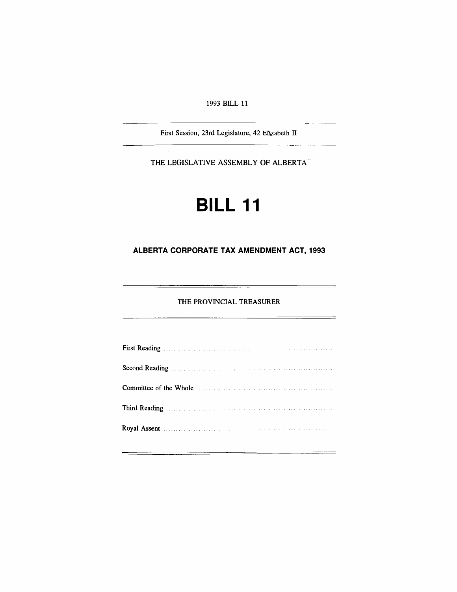1993 BILL 11

First Session, 23rd Legislature, 42 Efizabeth IT

THE LEGISLATIVE ASSEMBLY OF ALBERTA

# **BILL 11**

# **ALBERTA CORPORATE TAX AMENDMENT ACT, 1993**

# THE PROVINCIAL TREASURER

—

 $=$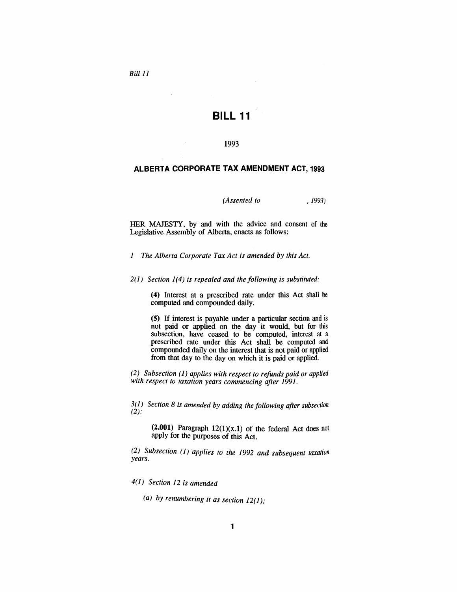*Bill* 11

# **BILL 11**

#### 1993

# **ALBERTA CORPORATE TAX AMENDMENT ACT, 1993**

# *(Assented to* , 1993)

HER MAJESTY, by and with the advice and consent of the Legislative Assembly of Alberta, enacts as follows:

*1 The Alberta Corporate Tax Act is amended by this Act.*

2(1) *Section* 1(4) *is repealed and the following is substituted:*

(4) Interest at a prescribed rate under this Act shall be computed and compounded daily.

(5) If interest is payable under a particular section and is not paid or applied on the day it would, but for this subsection, have ceased to be computed, interest at a prescribed rate under this Act shall be computed and compounded daily on the interest that is not paid or applied from that day to the day on which it is paid or applied.

*(2) Subsection* (1) *applies with respect to refunds paid or applied with respect to taxation years commencing after 1991.*

*3(1) Section* 8 *is amended by adding the following after subsection*  $(2)$ :

(2.001) Paragraph  $12(1)(x.1)$  of the federal Act does not apply for the purposes of this Act.

*(2) Subsection (1)applies to the* 1992 *and subsequent taxation years.*

*4(1) Section* 12 *is amended*

*(a) by renumbering it as section 12(1);*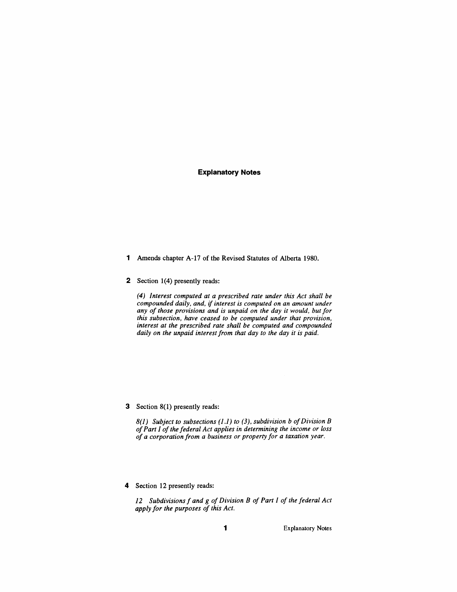# **Explanatory Notes**

- 1 Amends chapter A-I? of the Revised Statutes of Alberta 1980.
- 2 Section 1(4) presently reads:

*(4) Interest computed at a prescribed rate under this Act shall be compounded daily, and,* if *interest is computed on an amount under any of those provisions and is unpaid on the day it would, but for this subsection, have ceased to be computed under that provision, interest at the prescribed rate shall be computed and compounded daily on the unpaid interest from that day to the day it is paid.*

#### 3 Section 8(1) presently reads:

*8(1) Subject to subsections* (1.1) *to* (3), *subdivision b ofDivision B ofPart I of the federal Act applies in determining the income or loss of a corporation from a business or property for a taxation year.*

4 Section 12 presently reads:

*12 Subdivisions f and g of Division B of Part I of the federal Act apply for the purposes of this Act.*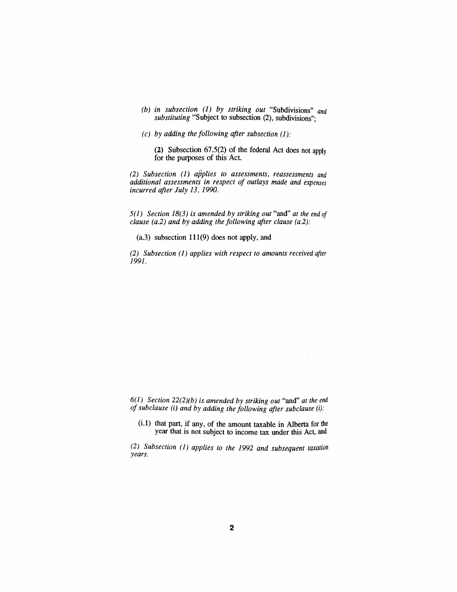- *(b) in subsection* (1) *by striking out* "Subdivisions" *and substituting* "Subject to subsection (2), subdivisions";
- *(c) by adding the following after subsection* (1):

(2) Subsection 67.5(2) of the federal Act does not apply for the purposes of this Act.

*(2) Subsection* (1) *applies to assessments, reassessments and additional assessments in respect of outlays made and expenses incurred after July* 13, *1990.*

*5(1) Section* 18(3) *is amended by striking out* "and" *at the end of clause (a.2) and by adding the following after clause (a.2):*

(a.3) subsection 111(9) does not apply, and

*(2) Subsection* (1) *applies with respect to amounts received after* 1991.

*6(1) Section 22(2)(b) is amended by striking out* "and" *at the end of subclause* (i) *and by adding the following after subclause* (i):

 $\hat{\mathcal{A}}$ 

(i.l) that part, if any, of the amount taxable in Alberta for the year that is not subject to income tax under this Act, and

*(2) Subsection* (1 ) *applies to the* 1992 *and subsequent taxation years.*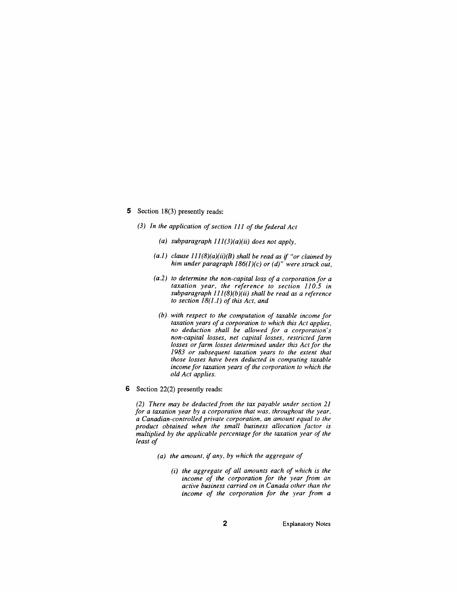# 5 Section 18(3) presently reads:

- (3) *In the application ofsection* 111 *of the federal Act*
	- *(a) subparagraph 111(3)(a)(ii) does not apply,*
	- *(a.l) clause 111(8)(a)(ii)(B) shall be read as* if *"or claimed by him under paragraph* 186(1)(c) *or (d)" were struck out,*
	- *(a.2) to determine the non-capital loss of a corporation for a taxation year, the reference to section 110.5 in subparagraph* 111*(8)(b)(ii) shall be read as a reference to section* 18(1.1) *of this Act, and*
		- *(b) with respect to the computation of taxable income for taxation years ofa corporation to which this Act applies, no deduction shall be allowed for a corporation's non-capital losses, net capital losses, restricted farm losses or farm losses determined under this Act for the 1983 or subsequent taxation years to the extent that those losses have been deducted in computing taxable income for taxation years of the corporation to which the old Act applies.*
- 6 Section 22(2) presently reads:

*(2) There may be deducted from the tax payable under section 21 for a taxation year by a corporation that was, throughout the year. a Canadian-controlled private corporation, an amount equal to the product obtained when the small business allocation factor is multiplied by the applicable percentage for the taxation year of the least of*

- *(a) the amount,* if *any, by which the aggregate of*
	- *(i) the aggregate of all amounts each of which is the income of the corporation for the year from all active business carried on in Canada other than the income of the corporation for the year from a*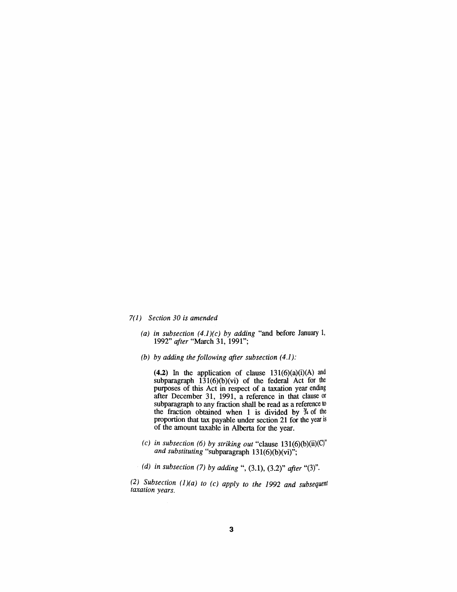#### *7(1) Section 30 is amended*

- *(a) in subsection (4.1)(c) by adding* "and before January 1, *1992" after* "March 31, 1991";
- *(b) by adding the following after subsection (4.1):*

 $(4.2)$  In the application of clause  $131(6)(a)(i)(A)$  and subparagraph  $131(6)(b)(vi)$  of the federal Act for the purposes of this Act in respect of a taxation year ending after December 31, 1991, a reference in that clause or subparagraph to any fraction shall be read as a reference to the fraction obtained when 1 is divided by  $\frac{y}{4}$  of the proportion that tax payable under section 21 for the year is of the amount taxable in Alberta for the year.

- (c) in subsection (6) by striking out "clause  $131(6)(b)(ii)(C)$ " and *substituting* "subparagraph 131(6)(b)(vi)";
- *(d) in subsection* (7) *by adding* ", (3.1), (3.2)" *after* "(3)".

*(2)* ~ubsection *(1)(a) to (c) apply to the* 1992 *and subsequent* taxation years.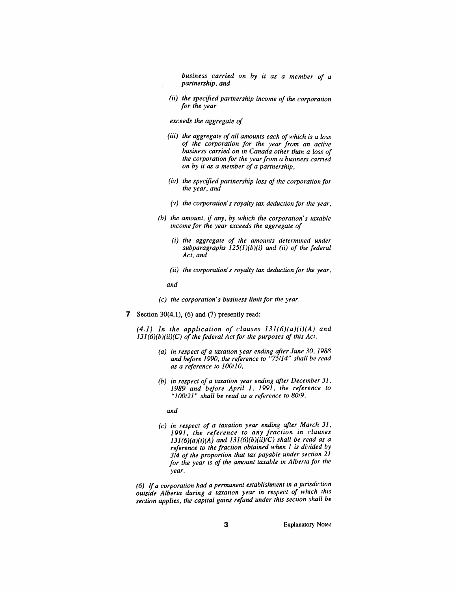*business carried on by it as a member of a partnership, and*

*(ii) the specified partnership income of the corporation for the year*

*exceeds the aggregate of*

- *(iii) the aggregate of all amounts each ofwhich is a loss of the corporation for the year from an active business carried on in Canada other than a loss of the corporation for the yearfrom a business carried on by it as a member of a partnership,*
- *(iv) the specified partnership loss of the corporation for the year, and*
- *(v) the corporation's royalty tax deduction for the year,*
- *(b) the amount,* if *any, by which the corporation's taxable income for the year exceeds the aggregate of*
	- *(i) the aggregate of the amounts determined under subparagraphs 125(l)(b)(i) and (ii) of the federal Act, and*
	- *(ii) the corporation's royalty tax deduction for the year,*

*and*

- (c) *the corporation's business limit for the year.*
- 7 Section  $30(4.1)$ ,  $(6)$  and  $(7)$  presently read:

*(4.1) In the application of clauses 131(6)(a)(i)(A) and 131(6)(b)(ii)(C) of the federal Act for the purposes of this Act,*

- *(a) in respect of a taxation year ending after June 30, 1988 and before 1990, the reference to "75114" shall be read as a reference to 100/10,*
- *(b) in respect of a taxation year ending after December* 31, *1989 and before April* 1, 1991, *the reference to "100/21" shall be read as a reference to 80/9,*

*and*

(c) *in respect of a taxation year ending after March* 31, *1991, the reference to any fraction in clauses 131(6)(a)(i)(A) and 131(6)(b)(ii)(C) shall be read as a reference to the fraction obtained when* 1 *is divided by 3/4 of the proportion that tax payable under section 21 for the year is of the amount taxable in Alberta for the year.*

*(6) If a corporation had a permanent establishment in a jurisdiction outside Alberta during a taxation year in respect of which this section applies, the capital gains refund under this section shall be*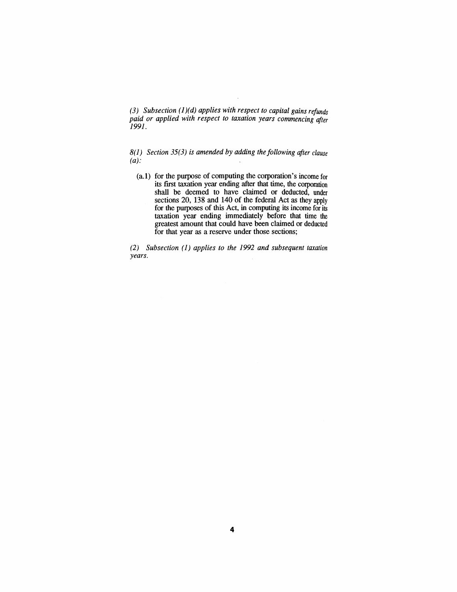*(3) Subsection* (1)(*d) applies with respect to capital gains refunds paid or applied with respect to taxation years commencing after* 1991.

*8(1) Section* 35(3) *is amended by adding the following after clause*  $(a)$ :

(a.l) for the purpose of computing the corporation's income for its first taxation year ending after that time, the corporation shall be deemed to have claimed or deducted, under sections 20, 138 and 140 of the federal Act as they apply for the purposes of this Act, in computing its income for its taxation year ending immediately before that time the greatest amount that could have been claimed or deducted for that year as a reserve under those sections;

*(2) Subsection* (1) *applies to the* 1992 *and subsequent taxation years.*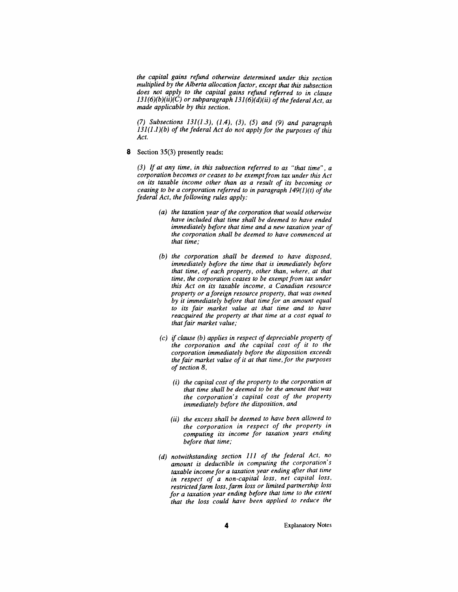*the capital gains refund otherwise determined under this section multiplied by the Alberta allocation factor, except that this subsection does not apply to the capital gains refund referred to in clause*  $131(6)(b)(ii)(C)$  *or subparagraph*  $131(6)(d)(ii)$  *of the federal Act, as made applicable by this section.*

*(7) Subsections* 131(1.3), (1.4), (3), (5) *and* (9) *and paragraph* 131(1.1 *)(b) of the federal Act do not apply for the purposes of this Act.*

8 Section 35(3) presently reads:

*(3) If at any time, in this subsection referred to as "that time", a corporation becomes or ceases to be exemptfrom tax under this Act on its taxable income other than as a result of its becoming or ceasing* to be a corporation referred to in paragraph 149(1)(t) of the *federal Act, the following rules apply:*

- *(a) the taxation year ofthe corporation that would otherwise have included that time shall be deemed to have ended immediately before that time and a new taxation year of the corporation shall be deemed to have commenced at that time;*
- *(b) the corporation shall be deemed to have disposed, immediately before the time that is immediately before that time, of each property, other than, where, at that time, the corporation ceases to be exempt from tax under this Act on its taxable income, a Canadian resource property or a foreign resource property, that was owned by it immediately before that time for an amount equal to its fair market value at that time and to have reacquired the property at that time at a cost equal to that fair market value;*
- *(c)* if *clause (b) applies in respect of depreciable property of the corporation and the capital cost of it to the corporation immediately before the disposition exceeds the fair market value of it at that time, for the purposes ofsection* 8,
	- *(i) the capital cost of the property to the corporation at that time shall be deemed to be the amount that was the corporation's capital cost of the property immediately before the disposition, and*
	- *(ii) the excess shall be deemed to have been allowed to the corporation in respect of the property in computing its income for taxation years ending before that time;*
- *(d) notwithstanding section* 111 *of the federal Act, no amount is deductible in computing the corporation's taxable income for a taxation year ending after that time in respect of a non-capital loss, net capital loss. restricted farm loss, farm loss or limited partnership loss for a taxation year ending before that time to the extent that the loss could have been applied to reduce the*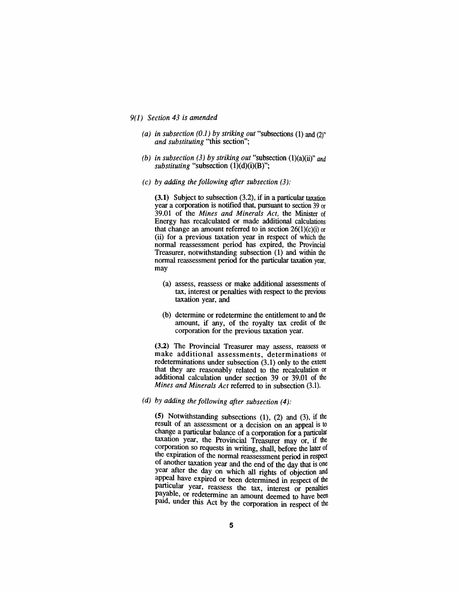#### 9(1) *Section* 43 *is amended*

- *(a) in subsection (0.1) by striking out* "subsections (1) and (2)" *and substituting* "this section"; .
- *(b) in subsection* (3) *by striking out* "subsection  $(1)(a)(ii)$ " *and substituting* "subsection  $(1)(d)(i)(B)$ ";
- *(c) by adding the following after subsection* (3):

(3.1) Subject to subsection (3.2), if in a particular taxation year a corporation is notified that, pursuant to section 39 or 39.01 of the *Mines and Minerals Act,* the Minister of Energy has recalculated or made additional calculations that change an amount referred to in section 26(1)(c)(i) or (ii) for a previous taxation year in respect of which the normal reassessment period has expired, the Provincial Treasurer, notwithstanding subsection (1) and within the normal reassessment period for the particular taxation year, may

- (a) assess, reassess or make additional assessments of tax, interest or penalties with respect to the previous taxation year, and
- (b) determine or redetermine the entitlement to and the amount, if any, of the royalty tax credit of the corporation for the previous taxation year.

(3.2) The Provincial Treasurer may assess, reassess or make additional assessments, determinations or redeterminations under subsection (3.1) only to the extent that they are reasonably related to the recalculation or additional calculation under section 39 or 39.01 of the *Mines and Minerals Act* referred to in subsection (3.1).

*(d) by adding the following after subsection (4):*

(5) Notwithstanding subsections (1), (2) and (3), if the result of an assessment or a decision on an appeal is to change a particular balance of a corporation for a particular taxation year, the Provincial Treasurer may or, if the corporation so requests in writing, shall, before the later of the expiration of the normal reassessment period in respect of another taxation year and the end of the day that is one year after the day on which all rights of objection and appeal have expired or been determined in respect of the particular year, reassess the tax, interest or penalties payable, or redetermine an amount deemed to have been paid, under this Act by the corporation in respect of the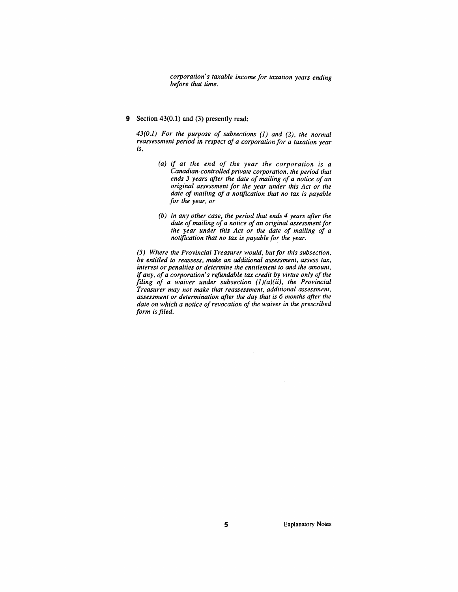*corporation's taxable income for taxation years ending before that time.*

9 Section 43(0.1) and (3) presently read:

*43(0.1) For the purpose of subsections* (1) *and* (2), *the normal reassessment period in respect of a corporation for a taxation year is,*

- *(a) if at the end of the year the corporation is a Canadian-controlled private corporation, the period that ends* 3 *years after the date of mailing of a notice of an original assessment for the year under this Act or the date of mailing of a notification that no tax is payable for the year, or*
- *(b) in any other case, the period that ends* 4 *years after the date ofmailing ofa notice ofan original assessment for the year under this Act or the date of mailing of a notification that no tax is payable for the year.*

*(3) Where the Provincial Treasurer would, but for this subsection, be entitled to reassess, make an additional assessment, assess tax, interest or penalties or determine the entitlement to and the amount,* if *any, of a corporation's refundable tax credit by virtue only of the filing of a waiver under subsection (l)(a)(ii), the Provincial Treasurer may not make that reassessment, additional assessment, assessment or determination after the day that is* 6 *months after the date on which a notice ofrevocation of the waiver in the prescribed form is filed.*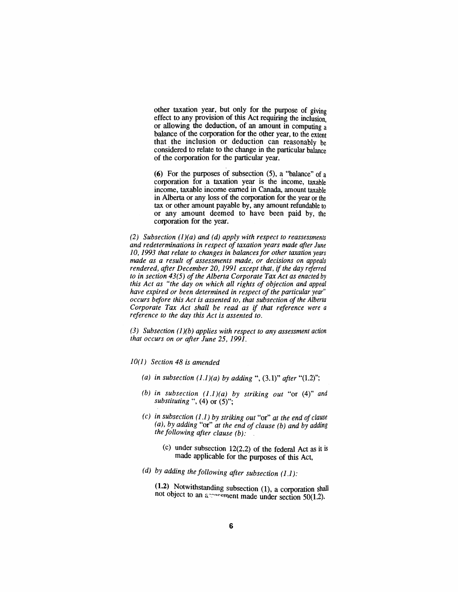other taxation year, but only for the purpose of giving effect to any provision of this Act requiring the inclusion or allowing the deduction, of an amount in computing a balance of the corporation for the other year, to the extent that the inclusion or deduction can reasonably be considered to relate to the change in the particular balance of the corporation for the particular year.

(6) For the purposes of subsection (5), a "balance" of a corporation for a taxation year is the income, taxable income, taxable income earned in Canada, amount taxable in Alberta or any loss of the corporation for the year or the tax or other amount payable by, any amount refundable to or any amount deemed to have been paid by, the corporation for the year.

*(2) Subsection (1)(a) and (d) apply with respect to reassessments and redeterminations in respect oftaxation years made after June 10,1993 that relate to changes in balancesfor other taxation years made as a result of assessments made, or decisions on appeals rendered, after December 20,* 1991 *except that,* if *the day referred to in section* 43(5) *of the Alberta Corporate Tax Act as enacted by this Act as "the day on which all rights of objection and appeal have expired or been determined in respect of the particular year" occurs before this Act is assented to, that subsection of the Alberta Corporate Tax Act shall be read as* if *that reference were a reference to the day this Act is assented to.*

*(3) Subsection (l)(b) applies with respect to any assessment action that occurs on or after June* 25, 1991.

#### *10(1) Section* 48 *is amended*

- (a) in subsection  $(1.1)(a)$  by adding ",  $(3.1)$ " after " $(1.2)$ ";
- (b) in subsection  $(1.1)(a)$  by striking out "or  $(4)$ " and *substituting* ", (4) or (5)";
- *(c) in subsection* (1.1) *by striking out* "or" *at the end of clause (a), by adding* "or" *at the end of clause (b) and by adding the following after clause (b):*
	- (c) under subsection 12(2.2) of the federal Act as it is made applicable for the purposes of this Act,
- *(d) by adding the following after subsection* (1.1):

 $(1.2)$  Notwithstanding subsection  $(1)$ , a corporation shall not object to an  $\alpha$  -exement made under section 50(1.2).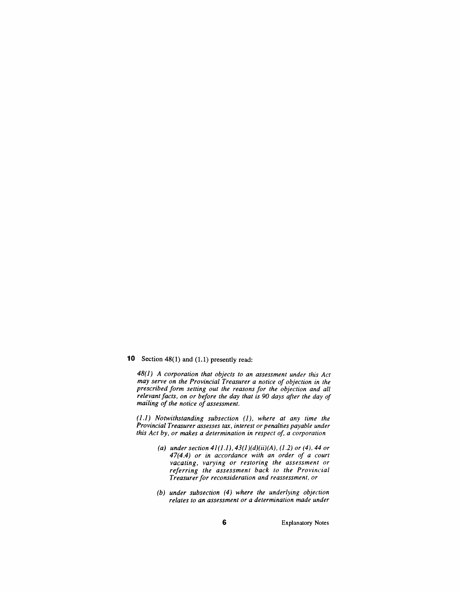**10** Section 48(1) and (1.1) presently read:

*48(1) A corporation that objects to an assessment under this Act may serve on the Provincial Treasurer a notice of objection in the prescribed form setting out the reasons for the objection and all relevant facts, on or before the day that is 90 days after the day of mailing of the notice of assessment.*

*(1.1) Notwithstanding subsection* (1), *where at any time the Provincial Treasurer assesses tax, interest or penalties payable under this Act by, or makes a determination in respect of, a corporation*

- (a) *under section*  $41(1.1)$ ,  $43(1)(d)(ii)(A)$ ,  $(1.2)$  *or*  $(4)$ ,  $44$  *or 47(4.4) or in accordance with an order of a court vacating, varying or restoring the assessment or referring the assessment back to the Provincial Treasurer for reconsideration and reassessment, or*
- *(b) under subsection* (4) *where the underlying objection relates to an assessment or a determination made under*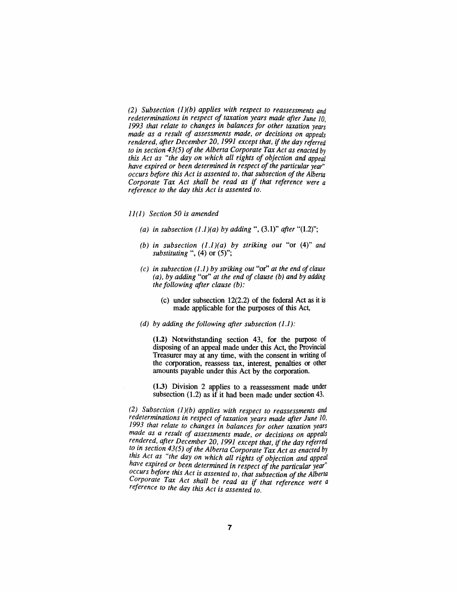*(2) Subsection* (1 *)(b) applies with respect to reassessments and redeterminations in respect of taxation years made after June 10, 1993 that relate to changes in balances for other taxation years made as a result of assessments made, or decisions on appeals rendered, after December 20,* 1991 *except that,* if *the day referred to* in section 43(5) of the Alberta Corporate Tax Act as enacted by *this Act as "the day on which all tights of objection and appeal have expired or been determined in respect ofthe particular year" occurs before this Act is assented to, that subsection ofthe Alberta Corporate Tax Act shall be read as* if *that reference were a reference to the day this Act is assented to.*

- 11(1) *Section 50 is amended*
	- *(a) in subsection*  $(1.1)(a)$  *by adding* ",  $(3.1)$ " *after* " $(1.2)$ ";
	- *(b) in subsection* (1.1)(*a) by striking out* "or (4)" *and substituting* ", (4) or (5)";
	- *(c) in subsection* (1.1) *by striking out* "or" *at the end of clause (a), by adding* "or" *at the end of clause (b) and by adding the following after clause (b):*
		- (c) under subsection 12(2.2) of the federal Act as it is made applicable for the purposes of this Act,
	- *(d) by adding the following after subsection* (1.1):

(1.2) Notwithstanding section 43, for the purpose of disposing of an appeal made under this Act, the Provincial Treasurer may at any time, with the consent in writing of the corporation, reassess tax, interest, penalties or other amounts payable under this Act by the corporation.

(1.3) Division 2 applies to a reassessment made under subsection (1.2) as if it had been made under section 43.

*(2) Subsection (1)(b) applies with respect to reassessments and redeterminations in respect of taxation years made after June 10, 1993 that relate to changes in balances for other taxation years made as a result of assessments made, or decisions on appeals ren.dered, after December 20,1991 except that,* if*the day referred to in section 43(5) of the Alberta Corporate Tax Act as enacted by <i>this* Act as "the day on which all rights of objection and appeal *have explred or been determined in respect of the particular year" occurs before this Act is assented to, that subsection ofthe Alberta Corporate Tax Act shall be read as* if *that reference were a reference to the day this Act is assented to.*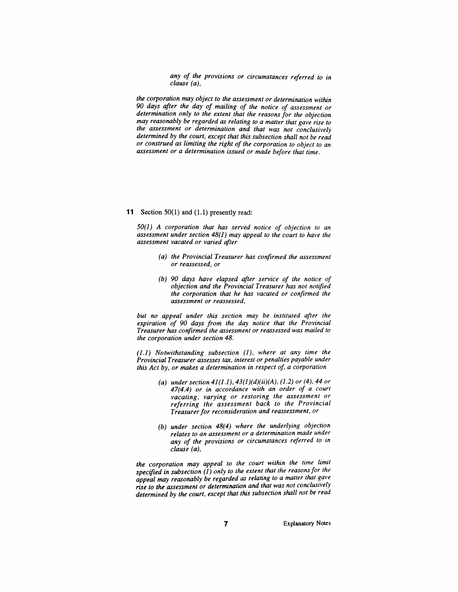*any of the provisions or circumstances referred to in clause (a),*

*the corporation may object to the assessment or determination within 90* day~ *after the day of mailing of the notice of assessment or*  $d$ *etermination only to the extent that the reasons for the objection may reasonably be regarded as relating to a matter that gave rise to the* assessment or determination and that was not conclusively *determmed by the court, except that this subsection shall not be read or construed as limiting the right of the corporation to object to an assessment or a determination issued or made before that time.*

#### **11** Section 50(1) and (1.1) presently read:

*50(1) A corporation that has served notice of objection to an assessment under section* 48(1) *may appeal to the court to have the assessment vacated or varied after*

- *(a) the Provincial Treasurer has confirmed the assessment or reassessed, or*
- *(b) 90 days have elapsed after service of the notice of objection and the Provincial Treasurer has not notified the corporation that he has vacated or confirmed the assessment or reassessed,*

*but no appeal under this section may be instituted after the expiration of 90 days from the day notice that the Provincial Treasurer has confirmed the assessment or reassessed was mailed to the corporation under section 48.*

*(1.1) Notwithstanding subsection* (1), *where at any time the Provincial Treasurer assesses tax, interest or penalties payable under this Act by, or makes a determination in respect of, a corporation*

- (a) *under section*  $41(1.1)$ ,  $43(1)(d)(ii)(A)$ ,  $(1.2)$  *or* (4), 44 *or 47(4.4) or in accordance with an order of a court vacating, varying or restoring the assessment or referring the assessment back to the Provincial Treasurer for reconsideration and reassessment, or*
- *(b) under section* 48(4) *where the underlying objection relates to an assessment or a determination made under any of the provisions or circumstances referred to in clause (a),*

*the corporation may appeal to the court within the time limit specified in subsection* (1) *only to the extent that the reasons for the appeal may reasonably be regarded as relating to a matter that* ~ave *rise to the assessment or determination and that was not concluslvely determined by the court, except that this subsection shall not be read*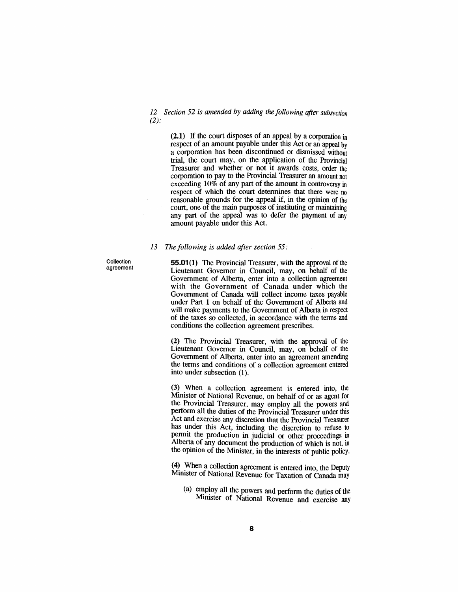*12 Section* 52 *is amended* by *adding the following after subsection*  $(2)$ :

> (2.1) If the court disposes of an appeal by a corporation in respect of an amount payable under this Act or an appeal by a corporation has been discontinued or dismissed without trial, the court may, on the application of the Provincial Treasurer and whether or not it awards costs, order the corporation to pay to the Provincial Treasurer an amount not exceeding 10% of any part of the amount in controversy in respect of which the court detennines that there were no reasonable grounds for the appeal if, in the opinion of the court, one of the main purposes of instituting or maintaining any part of the appeal was to defer the payment of any amount payable under this Act.

#### *13 The following is added after section* 55:

Collection agreement

**55.01(1)** The Provincial Treasurer, with the approval of the Lieutenant Governor in Council, may, on behalf of the Government of Alberta, enter into a collection agreement with the Government of Canada under which the Government of Canada will collect income taxes payable under Part 1 on behalf of the Government of Alberta and will make payments to the Government of Alberta in respect of the taxes so collected, in accordance with the tenns and conditions the collection agreement prescribes.

(2) The Provincial Treasurer, with the approval of the Lieutenant Governor in Council, may, on behalf of the Government of Alberta, enter into an agreement amending the tenns and conditions of a collection agreement entered into under subsection (1).

(3) When a collection agreement is entered into, the Minister of National Revenue, on behalf of or as agent for the Provincial Treasurer, may employ all the powers and perfonn all the duties of the Provincial Treasurer under this Act and exercise any discretion that the Provincial Treasurer has under this Act, including the discretion to refuse to permit the production in judicial or other proceedings in Alberta of any document the production of which is not, in the opinion of the Minister, in the interests of public policy.

(4) When a collection agreement is entered into, the Deputy Minister of National Revenue for Taxation of Canada may

(a) employ all the powers and perform the duties of the Mimster of National Revenue and exercise any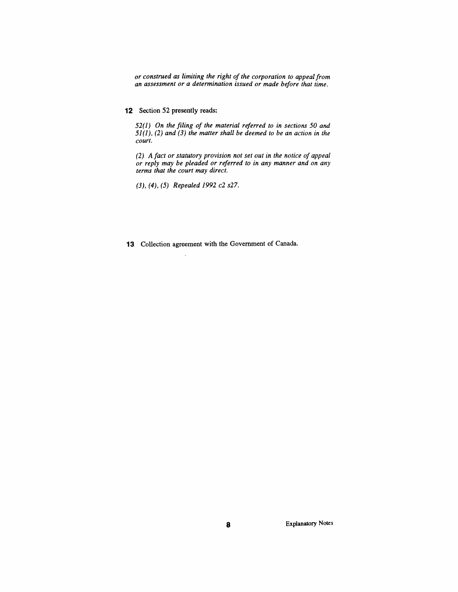*or construed as limiting the right of the corporation to appeal from an assessment or a determination issued or made before that time.*

## **12** Section 52 presently reads:

*52(1) On the filing of the material referred to in sections 50 and* 51(1), (2) *and* (3) *the matter shall be deemed to be an action in the court.*

*(2) A fact or statutory provision not set out in the notice of appeal or reply may be pleaded or referred to in any manner and on any terms that the court may direct.*

(3), (4), (5) *Repealed* 1992 c2 *s27.*

# **13** Collection agreement with the Government of Canada.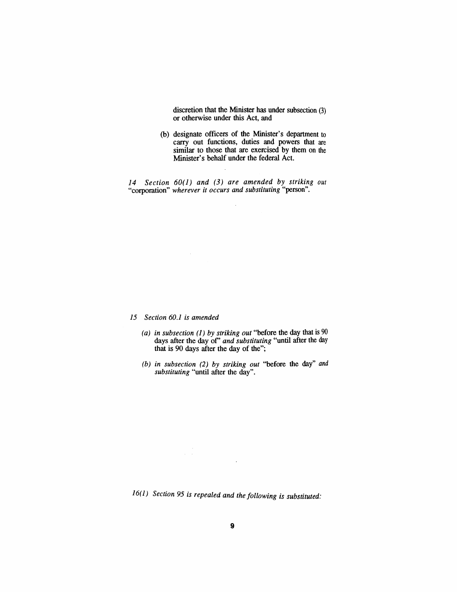discretion that the Minister has under subsection (3) or otherwise under this Act, and

(b) designate officers of the Minister's department to carry out functions, duties and powers that are similar to those that are exercised by them on the Minister's behalf under the federal Act.

*14 Section 60(1) and* (3) *are amended by striking out* "corporation" *wherever* it *occurs and substituting* "person".

 $\hat{\boldsymbol{\beta}}$ 

# *15 Section 60.1 is amended*

 $\frac{1}{\sqrt{2\pi}}\left(\frac{1}{\sqrt{2\pi}}\right)^2$ 

 $\sim$ 

- *(a) in subsection* (1) *by striking out* "before the day that is 90 days after the day of' *and substituting* "until after the day that is 90 days after the day of the";
- *(b) in subsection* (2) *by striking out* "before the day" and *substituting* "until after the day".

16(1) *Section* 95 *is repealed and the folloWing is substituted:*

 $\bar{z}$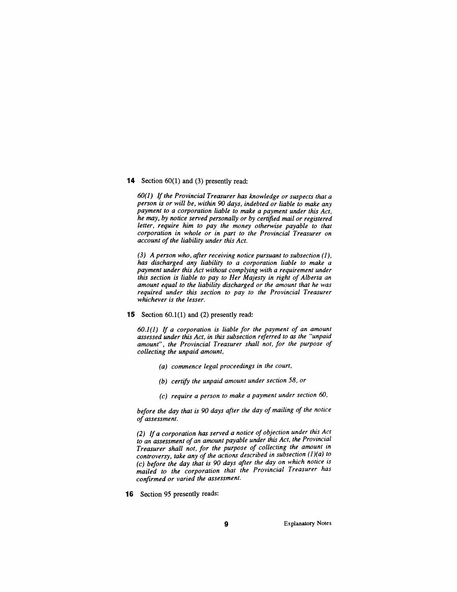#### **14** Section 60(1) and (3) presently read:

*60(1) If the Provincial Treasurer has knowledge or suspects that a person is or will be, within 90 days, indebted or liable to make any payment to a corporation liable to make a payment under this Act, he may, by notice served personally or by certified mail or registered letter, require him to pay the money otherwise payable to that corporation in whole or in part to the Provincial Treasurer on account of the liability under this Act.*

*(3) A person who, after receiving notice pursuant to subsection* (1), *has discharged any liability to a corporation liable to make a payment under this Act without complying with a requirement under this section is liable to pay to Her Majesty in right of Alberta an amount equal to the liability discharged or the amount that he was required under this section to pay to the Provincial Treasurer whichever is the lesser.*

**15** Section 60.1(1) and (2) presently read:

*60.1(1) If a corporation is liable for the payment of an amount assessed under this Act, in this subsection referred to as the "unpaid amount", the Provincial Treasurer shall not, for the purpose of collecting the unpaid amount,*

- *(a) commence legal proceedings in the court,*
- *(b) certify the unpaid amount under section* 58, *or*
- (c) *require a person to make a payment under section 60,*

*before the day that is 90 days after the day of mailing of the notice of assessment.*

*(2) If a corporation has served a notice ofobjection under this Act to an assessment of an amount payable under this Act. the Provincial Treasurer shall not, for the purpose of collecting the amount in controversy, take any of the actions described in subsectfon* (1 *)(a) t?* (c) *before the day that is 90 days after the* ~ay *,on which notlce* IS *mailed to the corporation that the Provincial Treasurer has confirmed or varied the assessment.*

**16** Section 95 presently reads: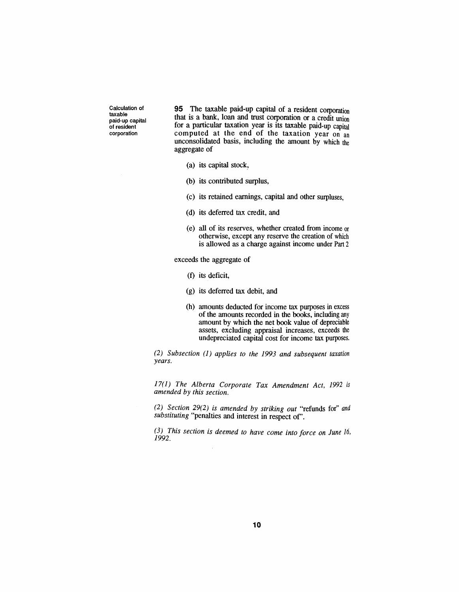Calculation of taxable paid-up capital of resident corporation

**95** The taxable paid-up capital of a resident corporation that is a bank, loan and trust corporation or a credit union for a particular taxation year is its taxable paid-up capital computed at the end of the taxation year on an unconsolidated basis, including the amount by which the aggregate of

- (a) its capital stock\_,
- (b) its contributed surplus,
- (c) its retained earnings, capital and other surpluses,
- (d) its deferred tax credit, and
- (e) all of its reserves, whether created from income or otherwise, except any reserve the creation of which is allowed as a charge against income under Part 2

exceeds the aggregate of

- (f) its deficit,
- (g) its deferred tax debit, and
- (h) amounts deducted for income tax purposes in excess of the amounts recorded in the books, including any amount by which the net book value of depreciable assets, excluding appraisal increases, exceeds the undepreciated capital cost for income tax purposes.

*(2) Subsection* (l) *applies to the* 1993 *and subsequent taxation years.*

*17(1) The Alberta Corporate Tax Amendment Act,* 1992 is *amended by this section.*

*(2) Section* 29(2) *is amended by striking out* "refunds for" *and substituting* "penalties and interest in respect of'.

*(3) This section is deemed to have come into force on June 16,* 1992.